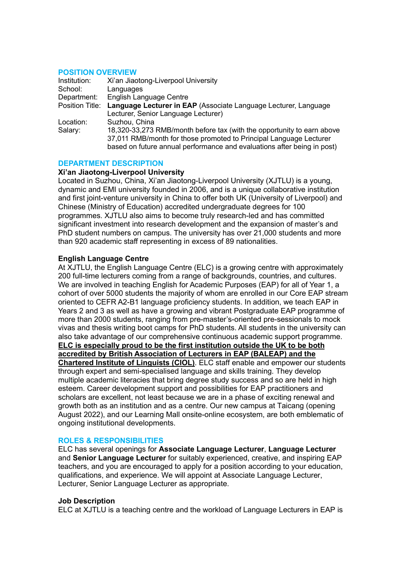## POSITION OVERVIEW

| Institution:    | Xi'an Jiaotong-Liverpool University                                     |
|-----------------|-------------------------------------------------------------------------|
| School:         | Languages                                                               |
| Department:     | <b>English Language Centre</b>                                          |
| Position Title: | Language Lecturer in EAP (Associate Language Lecturer, Language         |
|                 | Lecturer, Senior Language Lecturer)                                     |
| Location:       | Suzhou, China                                                           |
| Salary:         | 18,320-33,273 RMB/month before tax (with the opportunity to earn above  |
|                 | 37,011 RMB/month for those promoted to Principal Language Lecturer      |
|                 | based on future annual performance and evaluations after being in post) |

## DEPARTMENT DESCRIPTION

## Xi'an Jiaotong-Liverpool University

Located in Suzhou, China, Xi'an Jiaotong-Liverpool University (XJTLU) is a young, dynamic and EMI university founded in 2006, and is a unique collaborative institution and first joint-venture university in China to offer both UK (University of Liverpool) and Chinese (Ministry of Education) accredited undergraduate degrees for 100 programmes. XJTLU also aims to become truly research-led and has committed significant investment into research development and the expansion of master's and PhD student numbers on campus. The university has over 21,000 students and more than 920 academic staff representing in excess of 89 nationalities.

# English Language Centre

At XJTLU, the English Language Centre (ELC) is a growing centre with approximately 200 full-time lecturers coming from a range of backgrounds, countries, and cultures. We are involved in teaching English for Academic Purposes (EAP) for all of Year 1, a cohort of over 5000 students the majority of whom are enrolled in our Core EAP stream oriented to CEFR A2-B1 language proficiency students. In addition, we teach EAP in Years 2 and 3 as well as have a growing and vibrant Postgraduate EAP programme of more than 2000 students, ranging from pre-master's-oriented pre-sessionals to mock vivas and thesis writing boot camps for PhD students. All students in the university can also take advantage of our comprehensive continuous academic support programme. ELC is especially proud to be the first institution outside the UK to be both accredited by British Association of Lecturers in EAP (BALEAP) and the Chartered Institute of Linguists (CIOL). ELC staff enable and empower our students through expert and semi-specialised language and skills training. They develop multiple academic literacies that bring degree study success and so are held in high esteem. Career development support and possibilities for EAP practitioners and scholars are excellent, not least because we are in a phase of exciting renewal and growth both as an institution and as a centre. Our new campus at Taicang (opening August 2022), and our Learning Mall onsite-online ecosystem, are both emblematic of ongoing institutional developments.

## ROLES & RESPONSIBILITIES

ELC has several openings for Associate Language Lecturer, Language Lecturer and Senior Language Lecturer for suitably experienced, creative, and inspiring EAP teachers, and you are encouraged to apply for a position according to your education, qualifications, and experience. We will appoint at Associate Language Lecturer, Lecturer, Senior Language Lecturer as appropriate.

## Job Description

ELC at XJTLU is a teaching centre and the workload of Language Lecturers in EAP is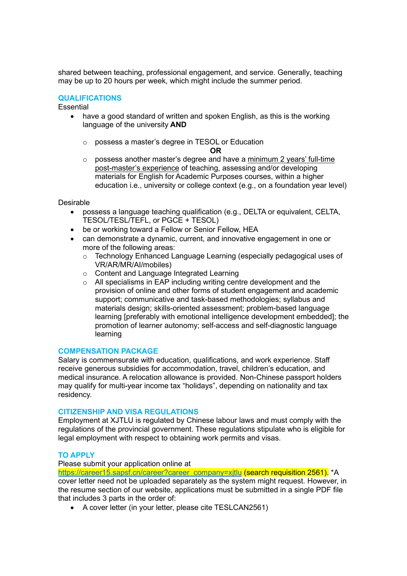shared between teaching, professional engagement, and service. Generally, teaching may be up to 20 hours per week, which might include the summer period.

# **QUALIFICATIONS**

**Essential** 

- have a good standard of written and spoken English, as this is the working language of the university AND
	- o possess a master's degree in TESOL or Education

#### OR

o possess another master's degree and have a minimum 2 years' full-time post-master's experience of teaching, assessing and/or developing materials for English for Academic Purposes courses, within a higher education i.e., university or college context (e.g., on a foundation year level)

Desirable

- possess a language teaching qualification (e.g., DELTA or equivalent, CELTA, TESOL/TESL/TEFL, or PGCE + TESOL)
- be or working toward a Fellow or Senior Fellow, HEA
- can demonstrate a dynamic, current, and innovative engagement in one or more of the following areas:
	- o Technology Enhanced Language Learning (especially pedagogical uses of VR/AR/MR/AI/mobiles)
	- o Content and Language Integrated Learning
	- o All specialisms in EAP including writing centre development and the provision of online and other forms of student engagement and academic support; communicative and task-based methodologies; syllabus and materials design; skills-oriented assessment; problem-based language learning [preferably with emotional intelligence development embedded]; the promotion of learner autonomy; self-access and self-diagnostic language learning

## COMPENSATION PACKAGE

Salary is commensurate with education, qualifications, and work experience. Staff receive generous subsidies for accommodation, travel, children's education, and medical insurance. A relocation allowance is provided. Non-Chinese passport holders may qualify for multi-year income tax "holidays", depending on nationality and tax residency.

## CITIZENSHIP AND VISA REGULATIONS

Employment at XJTLU is regulated by Chinese labour laws and must comply with the regulations of the provincial government. These regulations stipulate who is eligible for legal employment with respect to obtaining work permits and visas.

# TO APPLY

Please submit your application online at

https://career15.sapsf.cn/career?career\_company=xjtlu (search requisition 2561). \*A cover letter need not be uploaded separately as the system might request. However, in the resume section of our website, applications must be submitted in a single PDF file that includes 3 parts in the order of:

A cover letter (in your letter, please cite TESLCAN2561)